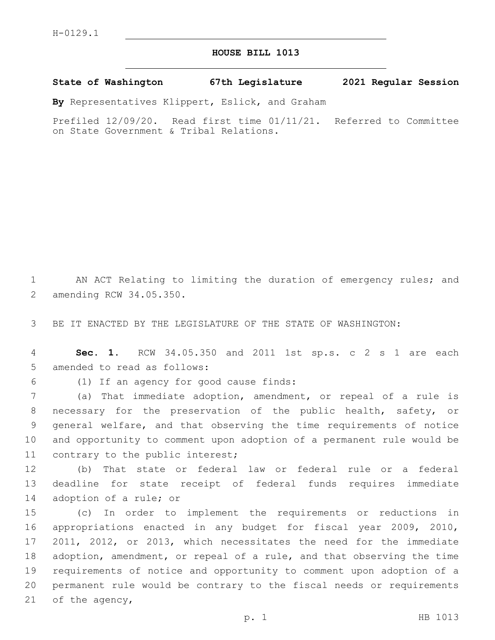## **HOUSE BILL 1013**

**State of Washington 67th Legislature 2021 Regular Session**

**By** Representatives Klippert, Eslick, and Graham

Prefiled 12/09/20. Read first time 01/11/21. Referred to Committee on State Government & Tribal Relations.

1 AN ACT Relating to limiting the duration of emergency rules; and 2 amending RCW 34.05.350.

3 BE IT ENACTED BY THE LEGISLATURE OF THE STATE OF WASHINGTON:

4 **Sec. 1.** RCW 34.05.350 and 2011 1st sp.s. c 2 s 1 are each 5 amended to read as follows:

(1) If an agency for good cause finds:6

 (a) That immediate adoption, amendment, or repeal of a rule is necessary for the preservation of the public health, safety, or general welfare, and that observing the time requirements of notice and opportunity to comment upon adoption of a permanent rule would be 11 contrary to the public interest;

12 (b) That state or federal law or federal rule or a federal 13 deadline for state receipt of federal funds requires immediate 14 adoption of a rule; or

 (c) In order to implement the requirements or reductions in appropriations enacted in any budget for fiscal year 2009, 2010, 2011, 2012, or 2013, which necessitates the need for the immediate adoption, amendment, or repeal of a rule, and that observing the time requirements of notice and opportunity to comment upon adoption of a permanent rule would be contrary to the fiscal needs or requirements 21 of the agency,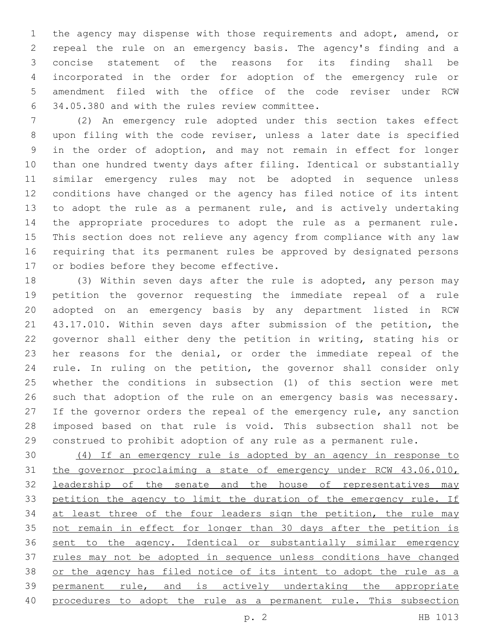the agency may dispense with those requirements and adopt, amend, or repeal the rule on an emergency basis. The agency's finding and a concise statement of the reasons for its finding shall be incorporated in the order for adoption of the emergency rule or amendment filed with the office of the code reviser under RCW 6 34.05.380 and with the rules review committee.

 (2) An emergency rule adopted under this section takes effect upon filing with the code reviser, unless a later date is specified in the order of adoption, and may not remain in effect for longer than one hundred twenty days after filing. Identical or substantially similar emergency rules may not be adopted in sequence unless conditions have changed or the agency has filed notice of its intent to adopt the rule as a permanent rule, and is actively undertaking the appropriate procedures to adopt the rule as a permanent rule. This section does not relieve any agency from compliance with any law requiring that its permanent rules be approved by designated persons 17 or bodies before they become effective.

 (3) Within seven days after the rule is adopted, any person may petition the governor requesting the immediate repeal of a rule adopted on an emergency basis by any department listed in RCW 43.17.010. Within seven days after submission of the petition, the governor shall either deny the petition in writing, stating his or her reasons for the denial, or order the immediate repeal of the rule. In ruling on the petition, the governor shall consider only whether the conditions in subsection (1) of this section were met such that adoption of the rule on an emergency basis was necessary. 27 If the governor orders the repeal of the emergency rule, any sanction imposed based on that rule is void. This subsection shall not be construed to prohibit adoption of any rule as a permanent rule.

 (4) If an emergency rule is adopted by an agency in response to the governor proclaiming a state of emergency under RCW 43.06.010, 32 leadership of the senate and the house of representatives may 33 petition the agency to limit the duration of the emergency rule. If 34 at least three of the four leaders sign the petition, the rule may 35 not remain in effect for longer than 30 days after the petition is sent to the agency. Identical or substantially similar emergency 37 rules may not be adopted in sequence unless conditions have changed 38 or the agency has filed notice of its intent to adopt the rule as a permanent rule, and is actively undertaking the appropriate 40 procedures to adopt the rule as a permanent rule. This subsection